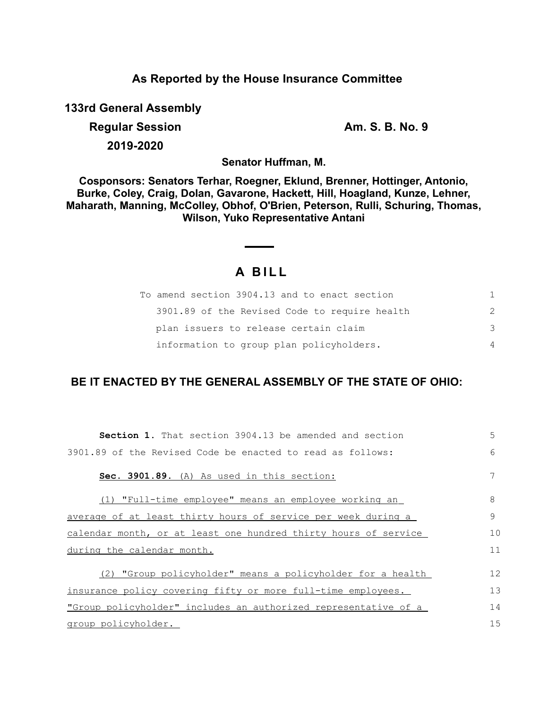## **As Reported by the House Insurance Committee**

**133rd General Assembly**

**Regular Session Am. S. B. No. 9** 

**2019-2020**

**Senator Huffman, M.**

**Cosponsors: Senators Terhar, Roegner, Eklund, Brenner, Hottinger, Antonio, Burke, Coley, Craig, Dolan, Gavarone, Hackett, Hill, Hoagland, Kunze, Lehner, Maharath, Manning, McColley, Obhof, O'Brien, Peterson, Rulli, Schuring, Thomas, Wilson, Yuko Representative Antani**

# **A B I L L**

| To amend section 3904.13 and to enact section | 1.            |
|-----------------------------------------------|---------------|
| 3901.89 of the Revised Code to require health | $\mathcal{P}$ |
| plan issuers to release certain claim         | -3            |
| information to group plan policyholders.      | 4             |

## **BE IT ENACTED BY THE GENERAL ASSEMBLY OF THE STATE OF OHIO:**

| <b>Section 1.</b> That section 3904.13 be amended and section   | 5  |
|-----------------------------------------------------------------|----|
| 3901.89 of the Revised Code be enacted to read as follows:      | 6  |
| Sec. 3901.89. (A) As used in this section:                      |    |
| (1) "Full-time employee" means an employee working an           | 8  |
| average of at least thirty hours of service per week during a   | 9  |
| calendar month, or at least one hundred thirty hours of service | 10 |
| during the calendar month.                                      | 11 |
| "Group policyholder" means a policyholder for a health<br>(2)   | 12 |
| insurance policy covering fifty or more full-time employees.    | 13 |
| "Group policyholder" includes an authorized representative of a | 14 |
| group policyholder.                                             | 15 |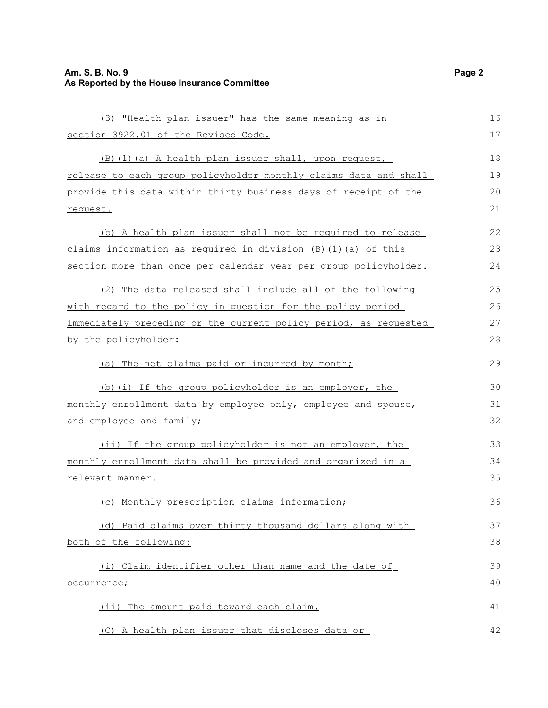## **Am. S. B. No. 9 Page 2 As Reported by the House Insurance Committee**

| (3) "Health plan issuer" has the same meaning as in                  | 16 |
|----------------------------------------------------------------------|----|
| section 3922.01 of the Revised Code.                                 | 17 |
| (B) (1) (a) A health plan issuer shall, upon request,                | 18 |
| release to each group policyholder monthly claims data and shall     | 19 |
| provide this data within thirty business days of receipt of the      | 20 |
| request.                                                             | 21 |
| (b) A health plan issuer shall not be required to release            | 22 |
| claims information as required in division $(B)$ $(1)$ $(a)$ of this | 23 |
| section more than once per calendar year per group policyholder.     | 24 |
| (2) The data released shall include all of the following             | 25 |
| with regard to the policy in question for the policy period          | 26 |
| immediately preceding or the current policy period, as requested     | 27 |
| by the policyholder:                                                 |    |
| (a) The net claims paid or incurred by month;                        | 29 |
| (b) (i) If the group policyholder is an employer, the                | 30 |
| monthly enrollment data by employee only, employee and spouse,       | 31 |
| and employee and family;                                             | 32 |
| (ii) If the group policyholder is not an employer, the               | 33 |
| monthly enrollment data shall be provided and organized in a         | 34 |
| relevant manner.                                                     | 35 |
| (c) Monthly prescription claims information;                         | 36 |
| (d) Paid claims over thirty thousand dollars along with              | 37 |
| both of the following:                                               | 38 |
| (i) Claim identifier other than name and the date of                 | 39 |
| occurrence;                                                          | 40 |
| (ii) The amount paid toward each claim.                              | 41 |
| (C) A health plan issuer that discloses data or                      | 42 |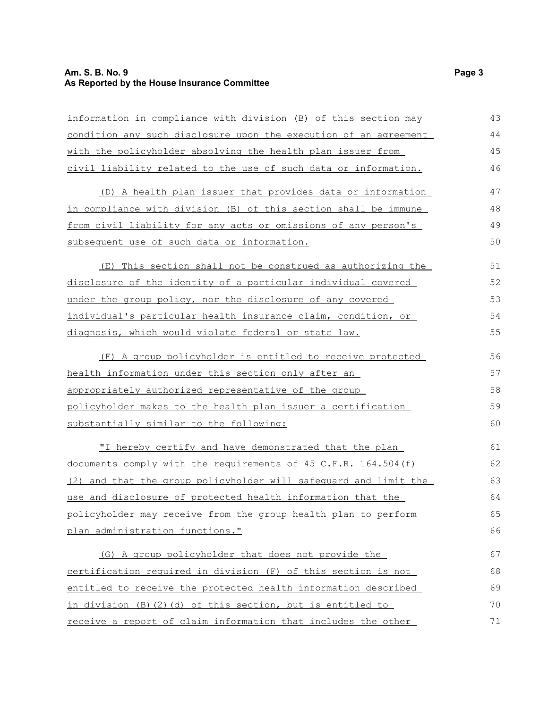## **Am. S. B. No. 9 Page 3 As Reported by the House Insurance Committee**

| information in compliance with division (B) of this section may  | 43 |
|------------------------------------------------------------------|----|
| condition any such disclosure upon the execution of an agreement |    |
| with the policyholder absolving the health plan issuer from      |    |
| civil liability related to the use of such data or information.  | 46 |
| (D) A health plan issuer that provides data or information       | 47 |
| in compliance with division (B) of this section shall be immune  | 48 |
| from civil liability for any acts or omissions of any person's   | 49 |
| subsequent use of such data or information.                      | 50 |
| (E) This section shall not be construed as authorizing the       | 51 |
| disclosure of the identity of a particular individual covered    | 52 |
| under the group policy, nor the disclosure of any covered        | 53 |
| individual's particular health insurance claim, condition, or    | 54 |
| diagnosis, which would violate federal or state law.             | 55 |
| (F) A group policyholder is entitled to receive protected        | 56 |
| health information under this section only after an              | 57 |
| appropriately authorized representative of the group             | 58 |
| policyholder makes to the health plan issuer a certification     | 59 |
| substantially similar to the following:                          | 60 |
| "I hereby certify and have demonstrated that the plan            | 61 |
| documents comply with the requirements of 45 C.F.R. 164.504(f)   | 62 |
| (2) and that the group policyholder will safequard and limit the | 63 |
| use and disclosure of protected health information that the      | 64 |
| policyholder may receive from the group health plan to perform   | 65 |
| plan administration functions."                                  | 66 |
| (G) A group policyholder that does not provide the               | 67 |
| certification required in division (F) of this section is not    | 68 |
| entitled to receive the protected health information described   | 69 |
| in division (B) (2) (d) of this section, but is entitled to      | 70 |
| receive a report of claim information that includes the other    | 71 |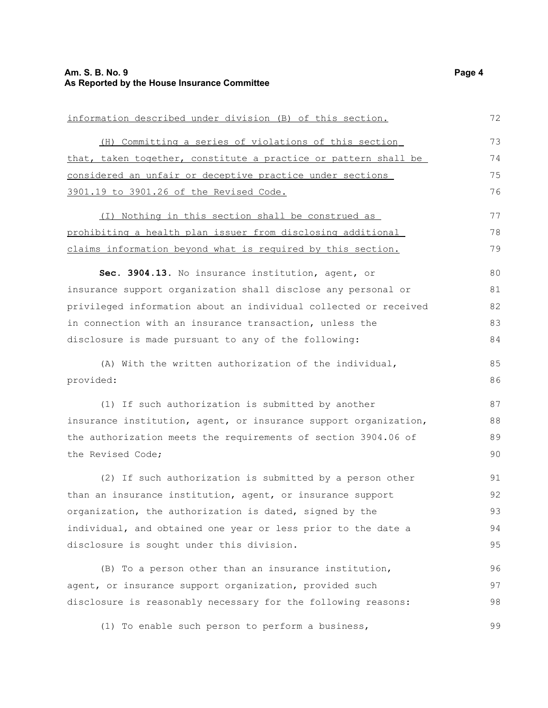| information described under division (B) of this section.        | 72 |
|------------------------------------------------------------------|----|
| (H) Committing a series of violations of this section            | 73 |
| that, taken together, constitute a practice or pattern shall be  | 74 |
| considered an unfair or deceptive practice under sections        | 75 |
| 3901.19 to 3901.26 of the Revised Code.                          | 76 |
| (I) Nothing in this section shall be construed as                | 77 |
| prohibiting a health plan issuer from disclosing additional      | 78 |
| claims information beyond what is required by this section.      | 79 |
| Sec. 3904.13. No insurance institution, agent, or                | 80 |
| insurance support organization shall disclose any personal or    | 81 |
| privileged information about an individual collected or received | 82 |
| in connection with an insurance transaction, unless the          | 83 |
| disclosure is made pursuant to any of the following:             | 84 |
| (A) With the written authorization of the individual,            | 85 |
| provided:                                                        | 86 |
| (1) If such authorization is submitted by another                | 87 |
| insurance institution, agent, or insurance support organization, | 88 |
| the authorization meets the requirements of section 3904.06 of   | 89 |
| the Revised Code;                                                | 90 |
| (2) If such authorization is submitted by a person other         | 91 |
| than an insurance institution, agent, or insurance support       | 92 |
| organization, the authorization is dated, signed by the          | 93 |
| individual, and obtained one year or less prior to the date a    | 94 |
| disclosure is sought under this division.                        | 95 |
| (B) To a person other than an insurance institution,             | 96 |
| agent, or insurance support organization, provided such          | 97 |
| disclosure is reasonably necessary for the following reasons:    | 98 |

(1) To enable such person to perform a business, 99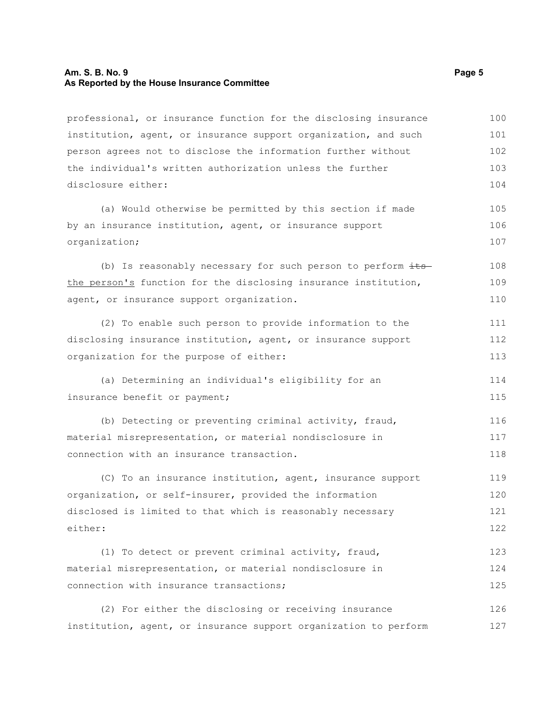#### **Am. S. B. No. 9 Page 5 As Reported by the House Insurance Committee**

professional, or insurance function for the disclosing insurance institution, agent, or insurance support organization, and such person agrees not to disclose the information further without the individual's written authorization unless the further disclosure either: (a) Would otherwise be permitted by this section if made by an insurance institution, agent, or insurance support organization; (b) Is reasonably necessary for such person to perform  $\frac{its}{s}$ the person's function for the disclosing insurance institution, agent, or insurance support organization. (2) To enable such person to provide information to the disclosing insurance institution, agent, or insurance support organization for the purpose of either: (a) Determining an individual's eligibility for an insurance benefit or payment; (b) Detecting or preventing criminal activity, fraud, material misrepresentation, or material nondisclosure in connection with an insurance transaction. (C) To an insurance institution, agent, insurance support organization, or self-insurer, provided the information disclosed is limited to that which is reasonably necessary either: (1) To detect or prevent criminal activity, fraud, material misrepresentation, or material nondisclosure in connection with insurance transactions; (2) For either the disclosing or receiving insurance institution, agent, or insurance support organization to perform 100 101 102 103 104 105 106 107 108 109 110 111 112 113 114 115 116 117 118 119 120 121 122 123 124 125 126 127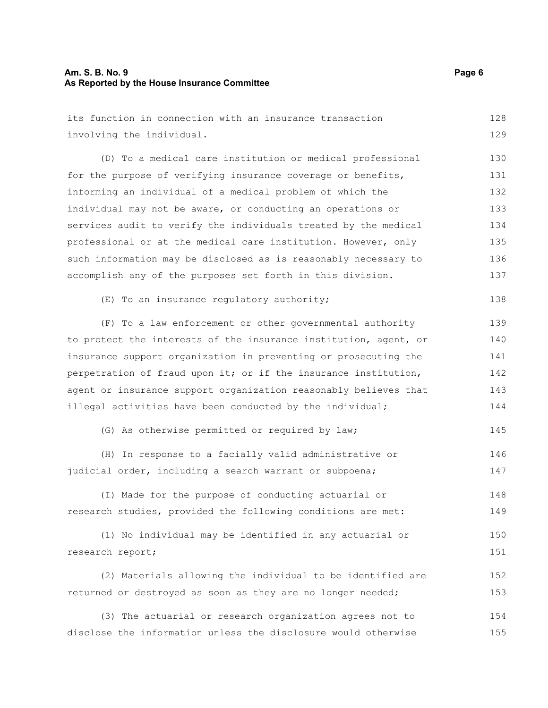### **Am. S. B. No. 9 Page 6 As Reported by the House Insurance Committee**

| its function in connection with an insurance transaction         | 128 |
|------------------------------------------------------------------|-----|
| involving the individual.                                        |     |
| (D) To a medical care institution or medical professional        | 130 |
| for the purpose of verifying insurance coverage or benefits,     | 131 |
| informing an individual of a medical problem of which the        | 132 |
| individual may not be aware, or conducting an operations or      | 133 |
| services audit to verify the individuals treated by the medical  | 134 |
| professional or at the medical care institution. However, only   | 135 |
| such information may be disclosed as is reasonably necessary to  | 136 |
| accomplish any of the purposes set forth in this division.       | 137 |
| (E) To an insurance regulatory authority;                        | 138 |
| (F) To a law enforcement or other governmental authority         | 139 |
| to protect the interests of the insurance institution, agent, or | 140 |
| insurance support organization in preventing or prosecuting the  | 141 |
| perpetration of fraud upon it; or if the insurance institution,  |     |
| agent or insurance support organization reasonably believes that | 143 |
| illegal activities have been conducted by the individual;        | 144 |
| (G) As otherwise permitted or required by law;                   | 145 |
| (H) In response to a facially valid administrative or            | 146 |
| judicial order, including a search warrant or subpoena;          | 147 |
| (I) Made for the purpose of conducting actuarial or              | 148 |
| research studies, provided the following conditions are met:     | 149 |
| (1) No individual may be identified in any actuarial or          | 150 |
| research report;                                                 | 151 |
| (2) Materials allowing the individual to be identified are       | 152 |
| returned or destroyed as soon as they are no longer needed;      | 153 |
| (3) The actuarial or research organization agrees not to         | 154 |
| disclose the information unless the disclosure would otherwise   | 155 |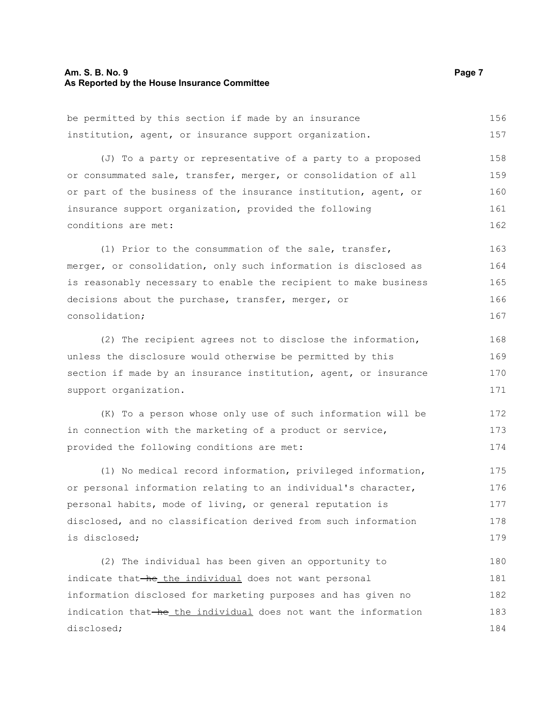#### **Am. S. B. No. 9 Page 7 As Reported by the House Insurance Committee**

disclosed;

be permitted by this section if made by an insurance institution, agent, or insurance support organization. (J) To a party or representative of a party to a proposed or consummated sale, transfer, merger, or consolidation of all or part of the business of the insurance institution, agent, or insurance support organization, provided the following conditions are met: (1) Prior to the consummation of the sale, transfer, merger, or consolidation, only such information is disclosed as is reasonably necessary to enable the recipient to make business decisions about the purchase, transfer, merger, or consolidation; (2) The recipient agrees not to disclose the information, unless the disclosure would otherwise be permitted by this section if made by an insurance institution, agent, or insurance support organization. (K) To a person whose only use of such information will be in connection with the marketing of a product or service, provided the following conditions are met: (1) No medical record information, privileged information, or personal information relating to an individual's character, personal habits, mode of living, or general reputation is disclosed, and no classification derived from such information is disclosed; (2) The individual has been given an opportunity to indicate that-he the individual does not want personal information disclosed for marketing purposes and has given no indication that he the individual does not want the information 156 157 158 159 160 161 162 163 164 165 166 167 168 169 170 171 172 173 174 175 176 177 178 179 180 181 182 183

184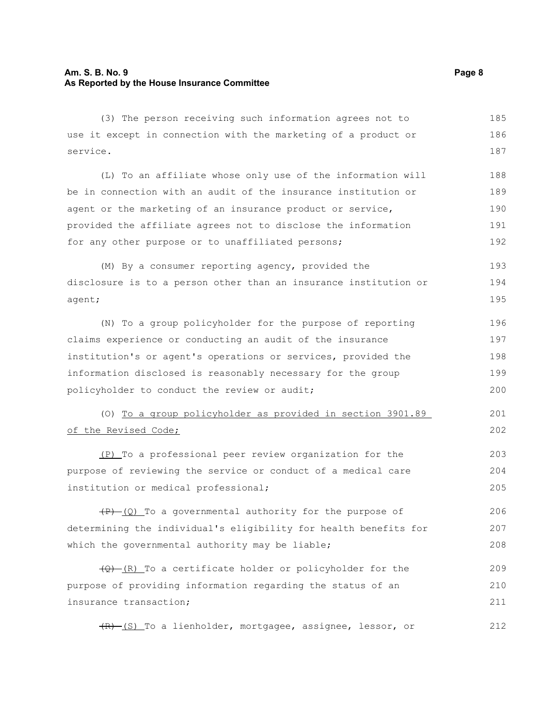#### **Am. S. B. No. 9 Page 8 As Reported by the House Insurance Committee**

(3) The person receiving such information agrees not to use it except in connection with the marketing of a product or service. 185 186 187

(L) To an affiliate whose only use of the information will be in connection with an audit of the insurance institution or agent or the marketing of an insurance product or service, provided the affiliate agrees not to disclose the information for any other purpose or to unaffiliated persons; 188 189 190 191 192

(M) By a consumer reporting agency, provided the disclosure is to a person other than an insurance institution or agent; 193 194 195

(N) To a group policyholder for the purpose of reporting claims experience or conducting an audit of the insurance institution's or agent's operations or services, provided the information disclosed is reasonably necessary for the group policyholder to conduct the review or audit; 196 197 198 199 200

(O) To a group policyholder as provided in section 3901.89 of the Revised Code; 201 202

(P) To a professional peer review organization for the purpose of reviewing the service or conduct of a medical care institution or medical professional; 203 204 205

 $(P)$  (Q) To a governmental authority for the purpose of determining the individual's eligibility for health benefits for which the governmental authority may be liable; 206 207 208

 $(Q)$  (R) To a certificate holder or policyholder for the purpose of providing information regarding the status of an insurance transaction; 209 210 211

 $(R)$  (S) To a lienholder, mortgagee, assignee, lessor, or

212